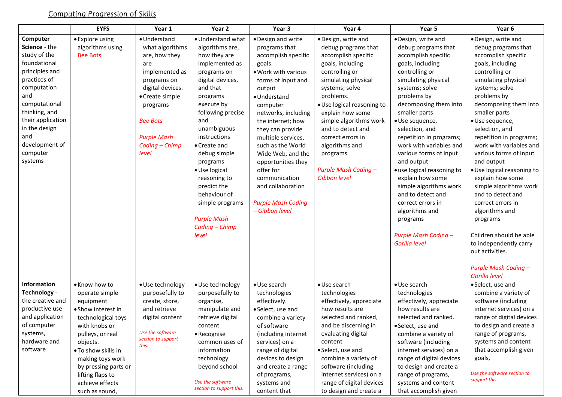## **Computing Progression of Skills**

|                                                                                                                                                                                                                                           | <b>EYFS</b>                                                                                                                                                                                                                                                           | Year 1                                                                                                                                                                                                          | Year 2                                                                                                                                                                                                                                                                  | Year 3                                                                                                                                                                                                                                                                                                                     | Year 4                                                                                                                                                                                                                                                                                                                                    | Year 5                                                                                                                                                                                                                                                                                                                                                                     | Year 6                                                                                                                                                                                                                                                                                                                                                                     |
|-------------------------------------------------------------------------------------------------------------------------------------------------------------------------------------------------------------------------------------------|-----------------------------------------------------------------------------------------------------------------------------------------------------------------------------------------------------------------------------------------------------------------------|-----------------------------------------------------------------------------------------------------------------------------------------------------------------------------------------------------------------|-------------------------------------------------------------------------------------------------------------------------------------------------------------------------------------------------------------------------------------------------------------------------|----------------------------------------------------------------------------------------------------------------------------------------------------------------------------------------------------------------------------------------------------------------------------------------------------------------------------|-------------------------------------------------------------------------------------------------------------------------------------------------------------------------------------------------------------------------------------------------------------------------------------------------------------------------------------------|----------------------------------------------------------------------------------------------------------------------------------------------------------------------------------------------------------------------------------------------------------------------------------------------------------------------------------------------------------------------------|----------------------------------------------------------------------------------------------------------------------------------------------------------------------------------------------------------------------------------------------------------------------------------------------------------------------------------------------------------------------------|
| Computer<br>Science - the<br>study of the<br>foundational<br>principles and<br>practices of<br>computation<br>and<br>computational<br>thinking, and<br>their application<br>in the design<br>and<br>development of<br>computer<br>systems | • Explore using<br>algorithms using<br><b>Bee Bots</b>                                                                                                                                                                                                                | · Understand<br>what algorithms<br>are, how they<br>are<br>implemented as<br>programs on<br>digital devices.<br>• Create simple<br>programs<br><b>Bee Bots</b><br><b>Purple Mash</b><br>Coding - Chimp<br>level | · Understand what<br>algorithms are,<br>how they are<br>implemented as<br>programs on<br>digital devices,<br>and that<br>programs<br>execute by<br>following precise<br>and<br>unambiguous<br>instructions<br>• Create and<br>debug simple<br>programs<br>· Use logical | · Design and write<br>programs that<br>accomplish specific<br>goals.<br>. Work with various<br>forms of input and<br>output<br>· Understand<br>computer<br>networks, including<br>the internet; how<br>they can provide<br>multiple services,<br>such as the World<br>Wide Web, and the<br>opportunities they<br>offer for | · Design, write and<br>debug programs that<br>accomplish specific<br>goals, including<br>controlling or<br>simulating physical<br>systems; solve<br>problems.<br>· Use logical reasoning to<br>explain how some<br>simple algorithms work<br>and to detect and<br>correct errors in<br>algorithms and<br>programs<br>Purple Mash Coding - | · Design, write and<br>debug programs that<br>accomplish specific<br>goals, including<br>controlling or<br>simulating physical<br>systems; solve<br>problems by<br>decomposing them into<br>smaller parts<br>· Use sequence,<br>selection, and<br>repetition in programs;<br>work with variables and<br>various forms of input<br>and output<br>· use logical reasoning to | · Design, write and<br>debug programs that<br>accomplish specific<br>goals, including<br>controlling or<br>simulating physical<br>systems; solve<br>problems by<br>decomposing them into<br>smaller parts<br>· Use sequence,<br>selection, and<br>repetition in programs;<br>work with variables and<br>various forms of input<br>and output<br>· Use logical reasoning to |
|                                                                                                                                                                                                                                           |                                                                                                                                                                                                                                                                       |                                                                                                                                                                                                                 | reasoning to<br>predict the<br>behaviour of<br>simple programs<br><b>Purple Mash</b><br>Coding - Chimp<br>level                                                                                                                                                         | communication<br>and collaboration<br><b>Purple Mash Coding</b><br>- Gibbon level                                                                                                                                                                                                                                          | <b>Gibbon level</b>                                                                                                                                                                                                                                                                                                                       | explain how some<br>simple algorithms work<br>and to detect and<br>correct errors in<br>algorithms and<br>programs<br><b>Purple Mash Coding -</b><br>Gorilla level                                                                                                                                                                                                         | explain how some<br>simple algorithms work<br>and to detect and<br>correct errors in<br>algorithms and<br>programs<br>Children should be able<br>to independently carry<br>out activities.<br>Purple Mash Coding -<br>Gorilla level                                                                                                                                        |
| Information<br>Technology -<br>the creative and<br>productive use<br>and application<br>of computer<br>systems,<br>hardware and<br>software                                                                                               | • Know how to<br>operate simple<br>equipment<br>• Show interest in<br>technological toys<br>with knobs or<br>pulleys, or real<br>objects.<br>. To show skills in<br>making toys work<br>by pressing parts or<br>lifting flaps to<br>achieve effects<br>such as sound, | · Use technology<br>purposefully to<br>create, store,<br>and retrieve<br>digital content<br>Use the software<br>section to support<br>this.                                                                     | · Use technology<br>purposefully to<br>organise,<br>manipulate and<br>retrieve digital<br>content<br>• Recognise<br>common uses of<br>information<br>technology<br>beyond school<br>Use the software<br>section to support this.                                        | • Use search<br>technologies<br>effectively.<br>· Select, use and<br>combine a variety<br>of software<br>(including internet<br>services) on a<br>range of digital<br>devices to design<br>and create a range<br>of programs,<br>systems and<br>content that                                                               | · Use search<br>technologies<br>effectively, appreciate<br>how results are<br>selected and ranked,<br>and be discerning in<br>evaluating digital<br>content<br>·Select, use and<br>combine a variety of<br>software (including<br>internet services) on a<br>range of digital devices<br>to design and create a                           | · Use search<br>technologies<br>effectively, appreciate<br>how results are<br>selected and ranked.<br>· Select, use and<br>combine a variety of<br>software (including<br>internet services) on a<br>range of digital devices<br>to design and create a<br>range of programs,<br>systems and content<br>that accomplish given                                              | · Select, use and<br>combine a variety of<br>software (including<br>internet services) on a<br>range of digital devices<br>to design and create a<br>range of programs,<br>systems and content<br>that accomplish given<br>goals,<br>Use the software section to<br>support this.                                                                                          |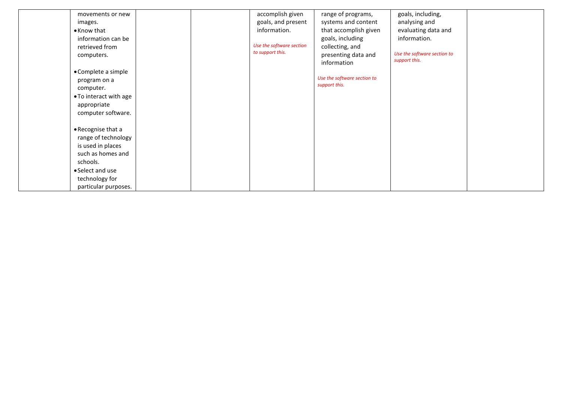| movements or new       | accomplish given         | range of programs,          | goals, including,           |  |
|------------------------|--------------------------|-----------------------------|-----------------------------|--|
| images.                | goals, and present       | systems and content         | analysing and               |  |
| • Know that            | information.             | that accomplish given       | evaluating data and         |  |
| information can be     |                          | goals, including            | information.                |  |
| retrieved from         | Use the software section | collecting, and             |                             |  |
| computers.             | to support this.         | presenting data and         | Use the software section to |  |
|                        |                          | information                 | support this.               |  |
| • Complete a simple    |                          |                             |                             |  |
| program on a           |                          | Use the software section to |                             |  |
| computer.              |                          | support this.               |                             |  |
| • To interact with age |                          |                             |                             |  |
| appropriate            |                          |                             |                             |  |
| computer software.     |                          |                             |                             |  |
|                        |                          |                             |                             |  |
| • Recognise that a     |                          |                             |                             |  |
| range of technology    |                          |                             |                             |  |
| is used in places      |                          |                             |                             |  |
| such as homes and      |                          |                             |                             |  |
| schools.               |                          |                             |                             |  |
| • Select and use       |                          |                             |                             |  |
| technology for         |                          |                             |                             |  |
| particular purposes.   |                          |                             |                             |  |
|                        |                          |                             |                             |  |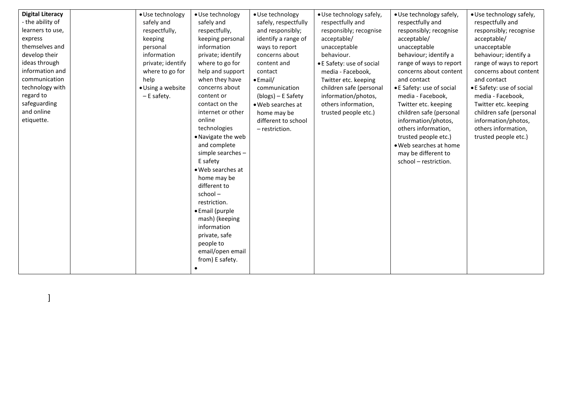| <b>Digital Literacy</b> | · Use technology  | · Use technology   | · Use technology     | · Use technology safely,  | · Use technology safely,  | · Use technology safely,  |
|-------------------------|-------------------|--------------------|----------------------|---------------------------|---------------------------|---------------------------|
| - the ability of        | safely and        | safely and         | safely, respectfully | respectfully and          | respectfully and          | respectfully and          |
| learners to use,        | respectfully,     | respectfully,      | and responsibly;     | responsibly; recognise    | responsibly; recognise    | responsibly; recognise    |
| express                 | keeping           | keeping personal   | identify a range of  | acceptable/               | acceptable/               | acceptable/               |
| themselves and          | personal          | information        | ways to report       | unacceptable              | unacceptable              | unacceptable              |
| develop their           | information       | private; identify  | concerns about       | behaviour.                | behaviour; identify a     | behaviour; identify a     |
| ideas through           | private; identify | where to go for    | content and          | • E Safety: use of social | range of ways to report   | range of ways to report   |
| information and         | where to go for   | help and support   | contact              | media - Facebook,         | concerns about content    | concerns about content    |
| communication           | help              | when they have     | $\bullet$ Email/     | Twitter etc. keeping      | and contact               | and contact               |
| technology with         | • Using a website | concerns about     | communication        | children safe (personal   | • E Safety: use of social | • E Safety: use of social |
| regard to               | $- E$ safety.     | content or         | (blogs) – E Safety   | information/photos,       | media - Facebook,         | media - Facebook,         |
| safeguarding            |                   | contact on the     | · Web searches at    | others information,       | Twitter etc. keeping      | Twitter etc. keeping      |
| and online              |                   | internet or other  | home may be          | trusted people etc.)      | children safe (personal   | children safe (personal   |
| etiquette.              |                   | online             | different to school  |                           | information/photos,       | information/photos,       |
|                         |                   | technologies       | - restriction.       |                           | others information,       | others information,       |
|                         |                   | • Navigate the web |                      |                           | trusted people etc.)      | trusted people etc.)      |
|                         |                   | and complete       |                      |                           | . Web searches at home    |                           |
|                         |                   | simple searches -  |                      |                           | may be different to       |                           |
|                         |                   | E safety           |                      |                           | school - restriction.     |                           |
|                         |                   | · Web searches at  |                      |                           |                           |                           |
|                         |                   | home may be        |                      |                           |                           |                           |
|                         |                   | different to       |                      |                           |                           |                           |
|                         |                   | $school -$         |                      |                           |                           |                           |
|                         |                   | restriction.       |                      |                           |                           |                           |
|                         |                   | • Email (purple    |                      |                           |                           |                           |
|                         |                   | mash) (keeping     |                      |                           |                           |                           |
|                         |                   | information        |                      |                           |                           |                           |
|                         |                   | private, safe      |                      |                           |                           |                           |
|                         |                   | people to          |                      |                           |                           |                           |
|                         |                   | email/open email   |                      |                           |                           |                           |
|                         |                   | from) E safety.    |                      |                           |                           |                           |
|                         |                   |                    |                      |                           |                           |                           |

]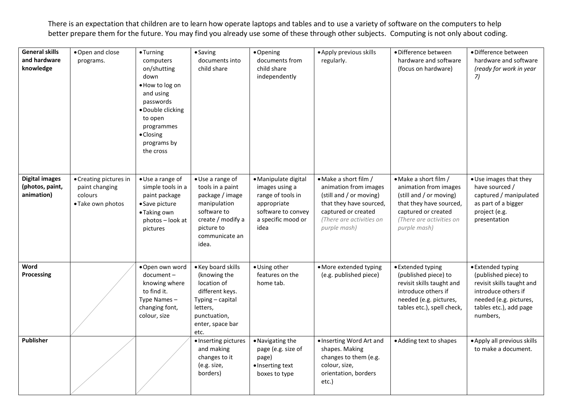There is an expectation that children are to learn how operate laptops and tables and to use a variety of software on the computers to help better prepare them for the future. You may find you already use some of these through other subjects. Computing is not only about coding.

| <b>General skills</b><br>and hardware<br>knowledge     | . Open and close<br>programs.                                            | · Turning<br>computers<br>on/shutting<br>down<br>. How to log on<br>and using<br>passwords<br>· Double clicking<br>to open<br>programmes<br>• Closing<br>programs by<br>the cross | · Saving<br>documents into<br>child share                                                                                                            | · Opening<br>documents from<br>child share<br>independently                                                                    | • Apply previous skills<br>regularly.                                                                                                                                   | • Difference between<br>hardware and software<br>(focus on hardware)                                                                                                    | • Difference between<br>hardware and software<br>(ready for work in year<br>7)                                                                                |
|--------------------------------------------------------|--------------------------------------------------------------------------|-----------------------------------------------------------------------------------------------------------------------------------------------------------------------------------|------------------------------------------------------------------------------------------------------------------------------------------------------|--------------------------------------------------------------------------------------------------------------------------------|-------------------------------------------------------------------------------------------------------------------------------------------------------------------------|-------------------------------------------------------------------------------------------------------------------------------------------------------------------------|---------------------------------------------------------------------------------------------------------------------------------------------------------------|
| <b>Digital images</b><br>(photos, paint,<br>animation) | • Creating pictures in<br>paint changing<br>colours<br>• Take own photos | • Use a range of<br>simple tools in a<br>paint package<br>· Save picture<br>• Taking own<br>photos - look at<br>pictures                                                          | • Use a range of<br>tools in a paint<br>package / image<br>manipulation<br>software to<br>create / modify a<br>picture to<br>communicate an<br>idea. | · Manipulate digital<br>images using a<br>range of tools in<br>appropriate<br>software to convey<br>a specific mood or<br>idea | • Make a short film /<br>animation from images<br>(still and / or moving)<br>that they have sourced,<br>captured or created<br>(There are activities on<br>purple mash) | • Make a short film /<br>animation from images<br>(still and / or moving)<br>that they have sourced,<br>captured or created<br>(There are activities on<br>purple mash) | · Use images that they<br>have sourced /<br>captured / manipulated<br>as part of a bigger<br>project (e.g.<br>presentation                                    |
| Word<br>Processing                                     |                                                                          | ·Open own word<br>document-<br>knowing where<br>to find it.<br>Type Names-<br>changing font,<br>colour, size                                                                      | • Key board skills<br>(knowing the<br>location of<br>different keys.<br>Typing - capital<br>letters,<br>punctuation,<br>enter, space bar<br>etc.     | · Using other<br>features on the<br>home tab.                                                                                  | · More extended typing<br>(e.g. published piece)                                                                                                                        | • Extended typing<br>(published piece) to<br>revisit skills taught and<br>introduce others if<br>needed (e.g. pictures,<br>tables etc.), spell check,                   | • Extended typing<br>(published piece) to<br>revisit skills taught and<br>introduce others if<br>needed (e.g. pictures,<br>tables etc.), add page<br>numbers, |
| Publisher                                              |                                                                          |                                                                                                                                                                                   | · Inserting pictures<br>and making<br>changes to it<br>(e.g. size,<br>borders)                                                                       | • Navigating the<br>page (e.g. size of<br>page)<br>· Inserting text<br>boxes to type                                           | · Inserting Word Art and<br>shapes. Making<br>changes to them (e.g.<br>colour, size,<br>orientation, borders<br>etc.)                                                   | • Adding text to shapes                                                                                                                                                 | · Apply all previous skills<br>to make a document.                                                                                                            |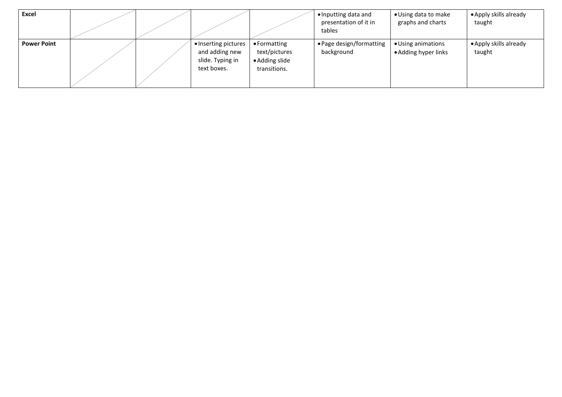| <b>Excel</b>       |  |                                                                           |                                                                 | • Inputting data and<br>presentation of it in<br>tables | • Using data to make<br>graphs and charts  | • Apply skills already<br>taught |
|--------------------|--|---------------------------------------------------------------------------|-----------------------------------------------------------------|---------------------------------------------------------|--------------------------------------------|----------------------------------|
| <b>Power Point</b> |  | • Inserting pictures<br>and adding new<br>slide. Typing in<br>text boxes. | • Formatting<br>text/pictures<br>• Adding slide<br>transitions. | • Page design/formatting<br>background                  | • Using animations<br>• Adding hyper links | • Apply skills already<br>taught |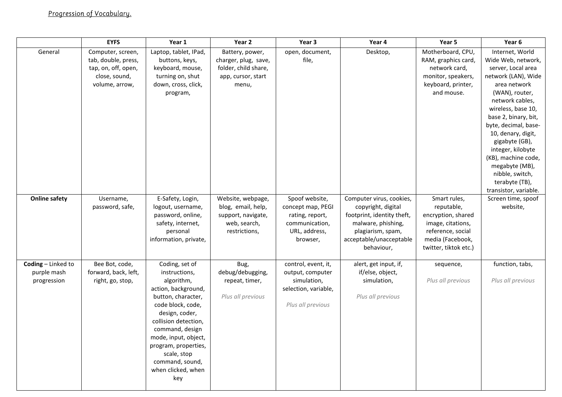|                                                  | <b>EYFS</b>                                                                                        | Year 1                                                                                                                                                                                                                                                                                      | Year 2                                                                                         | Year 3                                                                                                | Year 4                                                                                                                                                           | Year 5                                                                                                                                  | Year 6                                                                                                                                                                                                                                                                                                                                                                            |
|--------------------------------------------------|----------------------------------------------------------------------------------------------------|---------------------------------------------------------------------------------------------------------------------------------------------------------------------------------------------------------------------------------------------------------------------------------------------|------------------------------------------------------------------------------------------------|-------------------------------------------------------------------------------------------------------|------------------------------------------------------------------------------------------------------------------------------------------------------------------|-----------------------------------------------------------------------------------------------------------------------------------------|-----------------------------------------------------------------------------------------------------------------------------------------------------------------------------------------------------------------------------------------------------------------------------------------------------------------------------------------------------------------------------------|
| General                                          | Computer, screen,<br>tab, double, press,<br>tap, on, off, open,<br>close, sound,<br>volume, arrow, | Laptop, tablet, IPad,<br>buttons, keys,<br>keyboard, mouse,<br>turning on, shut<br>down, cross, click,<br>program,                                                                                                                                                                          | Battery, power,<br>charger, plug, save,<br>folder, child share,<br>app, cursor, start<br>menu, | open, document,<br>file,                                                                              | Desktop,                                                                                                                                                         | Motherboard, CPU,<br>RAM, graphics card,<br>network card,<br>monitor, speakers,<br>keyboard, printer,<br>and mouse.                     | Internet, World<br>Wide Web, network,<br>server, Local area<br>network (LAN), Wide<br>area network<br>(WAN), router,<br>network cables,<br>wireless, base 10,<br>base 2, binary, bit,<br>byte, decimal, base-<br>10, denary, digit,<br>gigabyte (GB),<br>integer, kilobyte<br>(KB), machine code,<br>megabyte (MB),<br>nibble, switch,<br>terabyte (TB),<br>transistor, variable. |
| <b>Online safety</b>                             | Username,<br>password, safe,                                                                       | E-Safety, Login,<br>logout, username,<br>password, online,<br>safety, internet,<br>personal<br>information, private,                                                                                                                                                                        | Website, webpage,<br>blog, email, help,<br>support, navigate,<br>web, search,<br>restrictions, | Spoof website,<br>concept map, PEGI<br>rating, report,<br>communication,<br>URL, address,<br>browser, | Computer virus, cookies,<br>copyright, digital<br>footprint, identity theft,<br>malware, phishing,<br>plagiarism, spam,<br>acceptable/unacceptable<br>behaviour, | Smart rules,<br>reputable,<br>encryption, shared<br>image, citations,<br>reference, social<br>media (Facebook,<br>twitter, tiktok etc.) | Screen time, spoof<br>website,                                                                                                                                                                                                                                                                                                                                                    |
| Coding - Linked to<br>purple mash<br>progression | Bee Bot, code,<br>forward, back, left,<br>right, go, stop,                                         | Coding, set of<br>instructions,<br>algorithm,<br>action, background,<br>button, character,<br>code block, code,<br>design, coder,<br>collision detection,<br>command, design<br>mode, input, object,<br>program, properties,<br>scale, stop<br>command, sound,<br>when clicked, when<br>key | Bug,<br>debug/debugging,<br>repeat, timer,<br>Plus all previous                                | control, event, it,<br>output, computer<br>simulation,<br>selection, variable,<br>Plus all previous   | alert, get input, if,<br>if/else, object,<br>simulation,<br>Plus all previous                                                                                    | sequence,<br>Plus all previous                                                                                                          | function, tabs,<br>Plus all previous                                                                                                                                                                                                                                                                                                                                              |